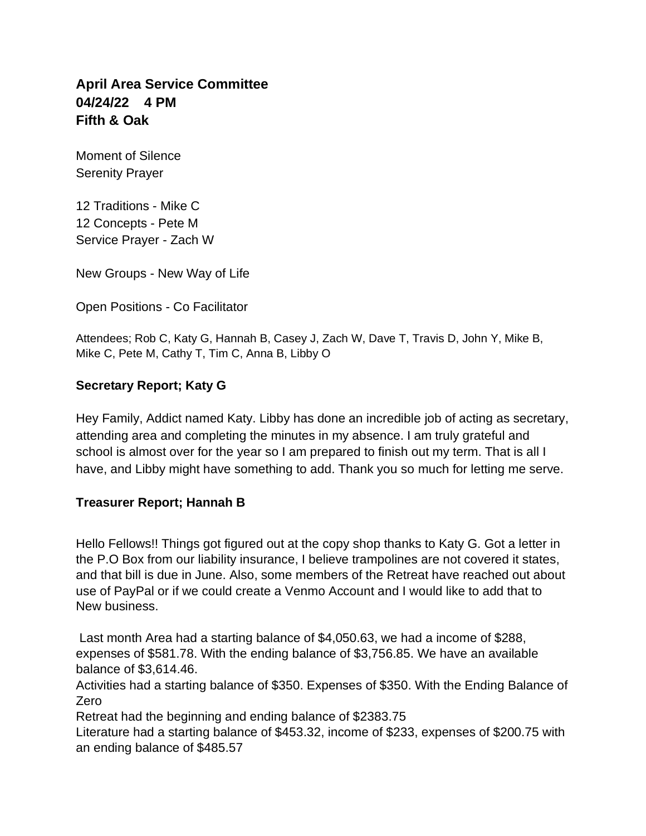# **April Area Service Committee 04/24/22 4 PM Fifth & Oak**

Moment of Silence Serenity Prayer

12 Traditions - Mike C 12 Concepts - Pete M Service Prayer - Zach W

New Groups - New Way of Life

Open Positions - Co Facilitator

Attendees; Rob C, Katy G, Hannah B, Casey J, Zach W, Dave T, Travis D, John Y, Mike B, Mike C, Pete M, Cathy T, Tim C, Anna B, Libby O

## **Secretary Report; Katy G**

Hey Family, Addict named Katy. Libby has done an incredible job of acting as secretary, attending area and completing the minutes in my absence. I am truly grateful and school is almost over for the year so I am prepared to finish out my term. That is all I have, and Libby might have something to add. Thank you so much for letting me serve.

## **Treasurer Report; Hannah B**

Hello Fellows!! Things got figured out at the copy shop thanks to Katy G. Got a letter in the P.O Box from our liability insurance, I believe trampolines are not covered it states, and that bill is due in June. Also, some members of the Retreat have reached out about use of PayPal or if we could create a Venmo Account and I would like to add that to New business.

Last month Area had a starting balance of \$4,050.63, we had a income of \$288, expenses of \$581.78. With the ending balance of \$3,756.85. We have an available balance of \$3,614.46.

Activities had a starting balance of \$350. Expenses of \$350. With the Ending Balance of Zero

Retreat had the beginning and ending balance of \$2383.75

Literature had a starting balance of \$453.32, income of \$233, expenses of \$200.75 with an ending balance of \$485.57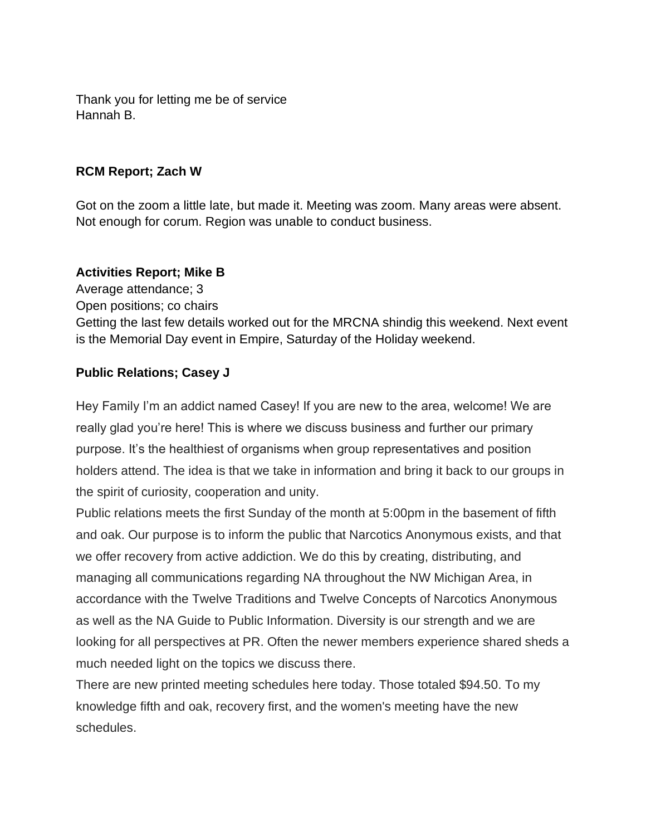Thank you for letting me be of service Hannah B.

### **RCM Report; Zach W**

Got on the zoom a little late, but made it. Meeting was zoom. Many areas were absent. Not enough for corum. Region was unable to conduct business.

### **Activities Report; Mike B**

Average attendance; 3 Open positions; co chairs Getting the last few details worked out for the MRCNA shindig this weekend. Next event is the Memorial Day event in Empire, Saturday of the Holiday weekend.

## **Public Relations; Casey J**

Hey Family I'm an addict named Casey! If you are new to the area, welcome! We are really glad you're here! This is where we discuss business and further our primary purpose. It's the healthiest of organisms when group representatives and position holders attend. The idea is that we take in information and bring it back to our groups in the spirit of curiosity, cooperation and unity.

Public relations meets the first Sunday of the month at 5:00pm in the basement of fifth and oak. Our purpose is to inform the public that Narcotics Anonymous exists, and that we offer recovery from active addiction. We do this by creating, distributing, and managing all communications regarding NA throughout the NW Michigan Area, in accordance with the Twelve Traditions and Twelve Concepts of Narcotics Anonymous as well as the NA Guide to Public Information. Diversity is our strength and we are looking for all perspectives at PR. Often the newer members experience shared sheds a much needed light on the topics we discuss there.

There are new printed meeting schedules here today. Those totaled \$94.50. To my knowledge fifth and oak, recovery first, and the women's meeting have the new schedules.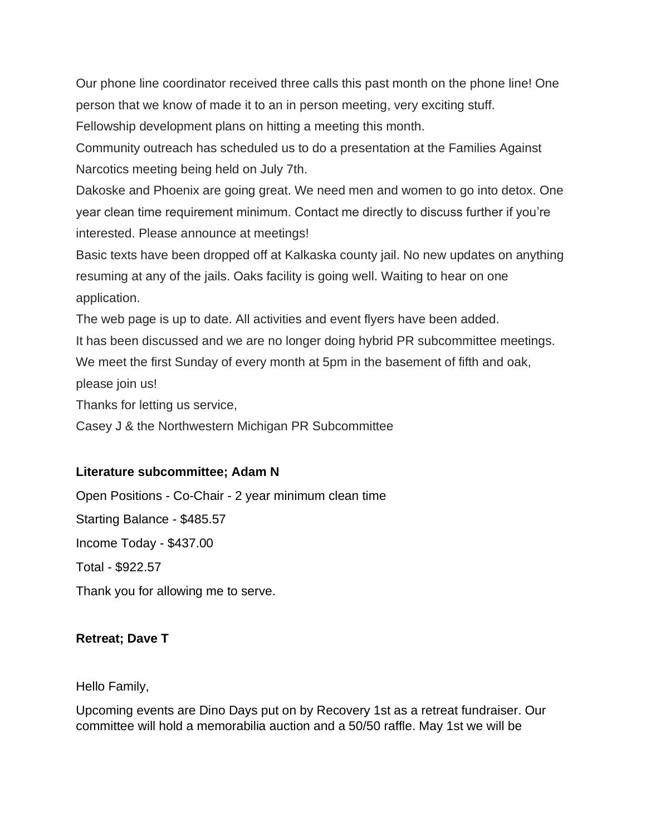Our phone line coordinator received three calls this past month on the phone line! One person that we know of made it to an in person meeting, very exciting stuff.

Fellowship development plans on hitting a meeting this month.

Community outreach has scheduled us to do a presentation at the Families Against Narcotics meeting being held on July 7th.

Dakoske and Phoenix are going great. We need men and women to go into detox. One year clean time requirement minimum. Contact me directly to discuss further if you're interested. Please announce at meetings!

Basic texts have been dropped off at Kalkaska county jail. No new updates on anything resuming at any of the jails. Oaks facility is going well. Waiting to hear on one application.

The web page is up to date. All activities and event flyers have been added.

It has been discussed and we are no longer doing hybrid PR subcommittee meetings.

We meet the first Sunday of every month at 5pm in the basement of fifth and oak,

please join us!

Thanks for letting us service,

Casey J & the Northwestern Michigan PR Subcommittee

## **Literature subcommittee; Adam N**

Open Positions - Co-Chair - 2 year minimum clean time Starting Balance - \$485.57 Income Today - \$437.00 Total - \$922.57 Thank you for allowing me to serve.

## **Retreat; Dave T**

Hello Family,

Upcoming events are Dino Days put on by Recovery 1st as a retreat fundraiser. Our committee will hold a memorabilia auction and a 50/50 raffle. May 1st we will be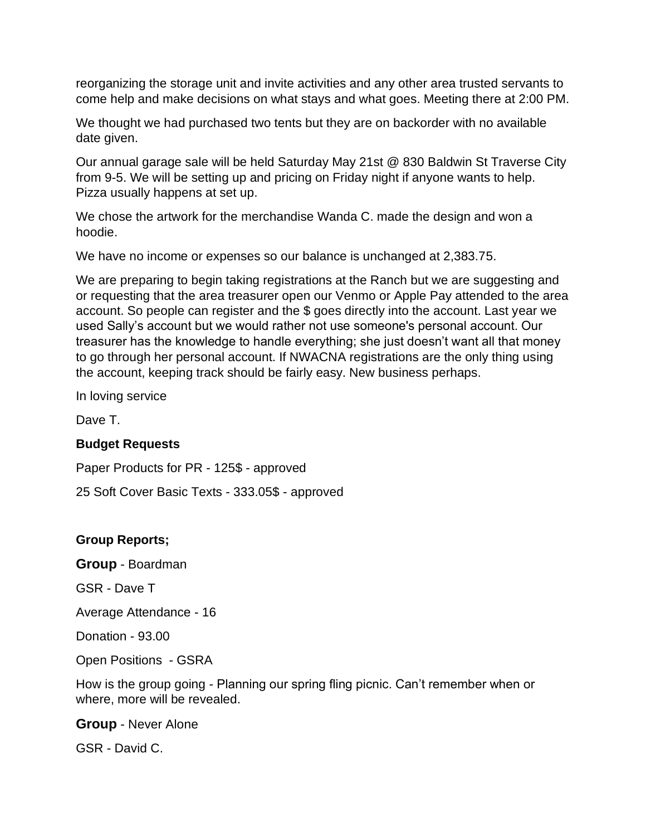reorganizing the storage unit and invite activities and any other area trusted servants to come help and make decisions on what stays and what goes. Meeting there at 2:00 PM.

We thought we had purchased two tents but they are on backorder with no available date given.

Our annual garage sale will be held Saturday May 21st @ 830 Baldwin St Traverse City from 9-5. We will be setting up and pricing on Friday night if anyone wants to help. Pizza usually happens at set up.

We chose the artwork for the merchandise Wanda C. made the design and won a hoodie.

We have no income or expenses so our balance is unchanged at 2,383.75.

We are preparing to begin taking registrations at the Ranch but we are suggesting and or requesting that the area treasurer open our Venmo or Apple Pay attended to the area account. So people can register and the \$ goes directly into the account. Last year we used Sally's account but we would rather not use someone's personal account. Our treasurer has the knowledge to handle everything; she just doesn't want all that money to go through her personal account. If NWACNA registrations are the only thing using the account, keeping track should be fairly easy. New business perhaps.

In loving service

Dave T.

### **Budget Requests**

Paper Products for PR - 125\$ - approved

25 Soft Cover Basic Texts - 333.05\$ - approved

### **Group Reports;**

**Group** - Boardman

GSR - Dave T

Average Attendance - 16

Donation - 93.00

Open Positions - GSRA

How is the group going - Planning our spring fling picnic. Can't remember when or where, more will be revealed.

**Group** - Never Alone

GSR - David C.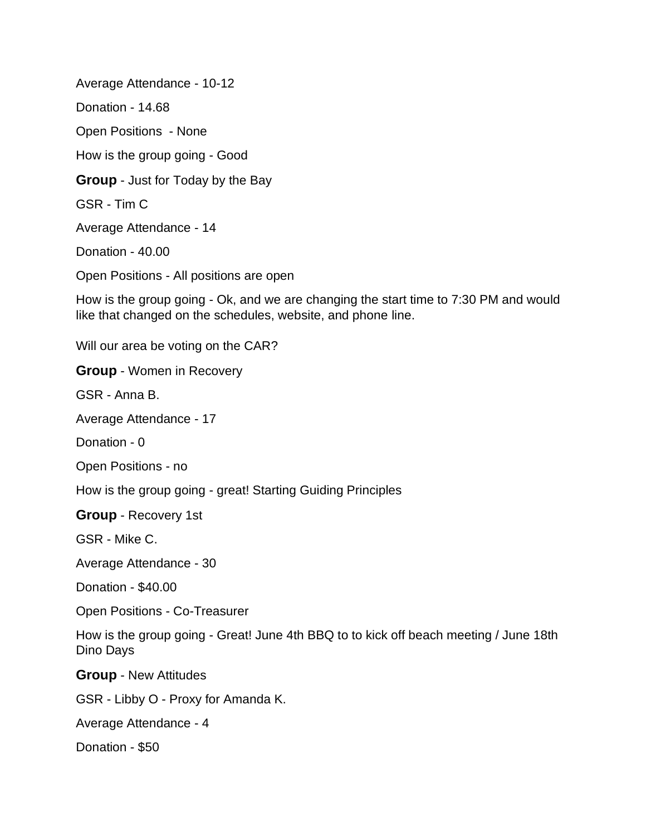Average Attendance - 10-12 Donation - 14.68 Open Positions - None How is the group going - Good **Group** - Just for Today by the Bay GSR - Tim C Average Attendance - 14 Donation - 40.00 Open Positions - All positions are open

How is the group going - Ok, and we are changing the start time to 7:30 PM and would like that changed on the schedules, website, and phone line.

Will our area be voting on the CAR?

**Group** - Women in Recovery

GSR - Anna B.

Average Attendance - 17

Donation - 0

Open Positions - no

How is the group going - great! Starting Guiding Principles

**Group** - Recovery 1st

GSR - Mike C.

Average Attendance - 30

Donation - \$40.00

Open Positions - Co-Treasurer

How is the group going - Great! June 4th BBQ to to kick off beach meeting / June 18th Dino Days

**Group** - New Attitudes

GSR - Libby O - Proxy for Amanda K.

Average Attendance - 4

Donation - \$50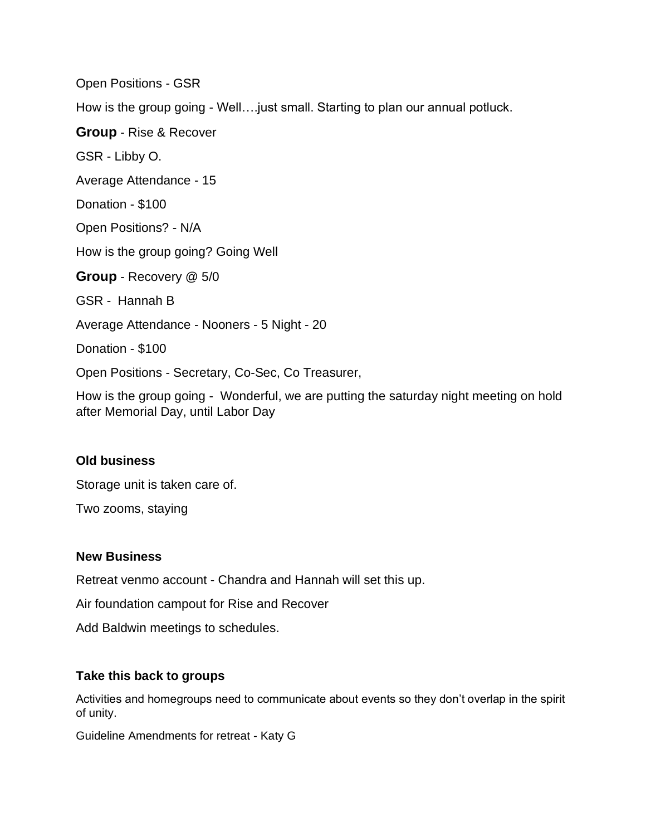Open Positions - GSR How is the group going - Well….just small. Starting to plan our annual potluck. **Group** - Rise & Recover GSR - Libby O. Average Attendance - 15 Donation - \$100 Open Positions? - N/A How is the group going? Going Well **Group** - Recovery @ 5/0 GSR - Hannah B Average Attendance - Nooners - 5 Night - 20 Donation - \$100 Open Positions - Secretary, Co-Sec, Co Treasurer,

How is the group going - Wonderful, we are putting the saturday night meeting on hold after Memorial Day, until Labor Day

## **Old business**

Storage unit is taken care of.

Two zooms, staying

### **New Business**

Retreat venmo account - Chandra and Hannah will set this up.

Air foundation campout for Rise and Recover

Add Baldwin meetings to schedules.

### **Take this back to groups**

Activities and homegroups need to communicate about events so they don't overlap in the spirit of unity.

Guideline Amendments for retreat - Katy G